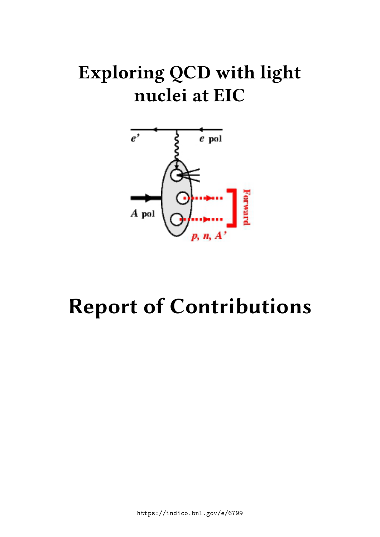# **Exploring QCD with light nuclei at EIC**



# **Report of Contributions**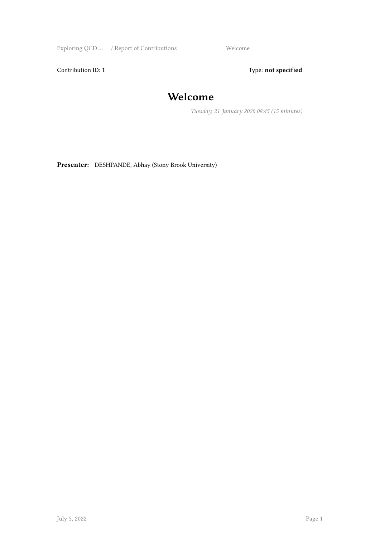Exploring QCD ... / Report of Contributions Welcome

Contribution ID: 1 Type: **not specified** 

## **Welcome**

*Tuesday, 21 January 2020 08:45 (15 minutes)*

**Presenter:** DESHPANDE, Abhay (Stony Brook University)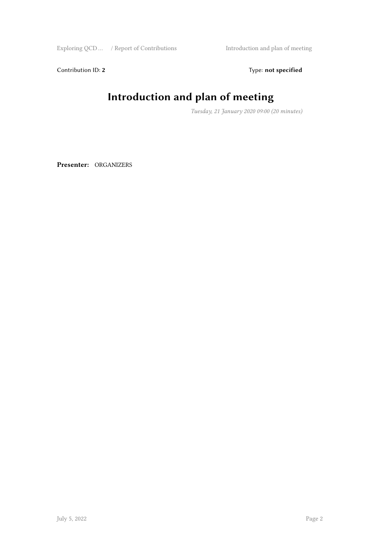Exploring QCD … / Report of Contributions Introduction and plan of meeting

Contribution ID: 2 Type: **not specified** 

# **Introduction and plan of meeting**

*Tuesday, 21 January 2020 09:00 (20 minutes)*

**Presenter:** ORGANIZERS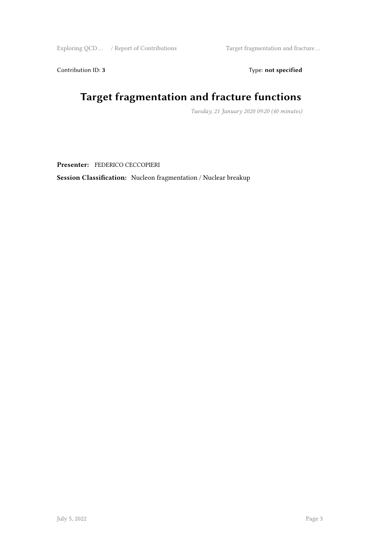Exploring QCD … / Report of Contributions Target fragmentation and fracture …

Contribution ID: 3 Type: **not specified** 

# **Target fragmentation and fracture functions**

*Tuesday, 21 January 2020 09:20 (40 minutes)*

**Presenter:** FEDERICO CECCOPIERI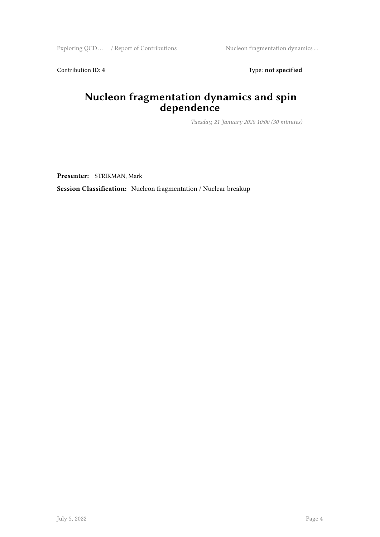Exploring QCD … / Report of Contributions Nucleon fragmentation dynamics …

Contribution ID: 4 Type: **not specified** 

#### **Nucleon fragmentation dynamics and spin dependence**

*Tuesday, 21 January 2020 10:00 (30 minutes)*

**Presenter:** STRIKMAN, Mark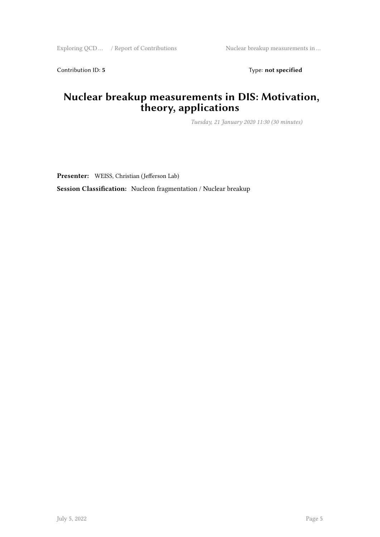Exploring QCD … / Report of Contributions Nuclear breakup measurements in …

Contribution ID: 5 Type: **not specified** 

#### **Nuclear breakup measurements in DIS: Motivation, theory, applications**

*Tuesday, 21 January 2020 11:30 (30 minutes)*

**Presenter:** WEISS, Christian (Jefferson Lab)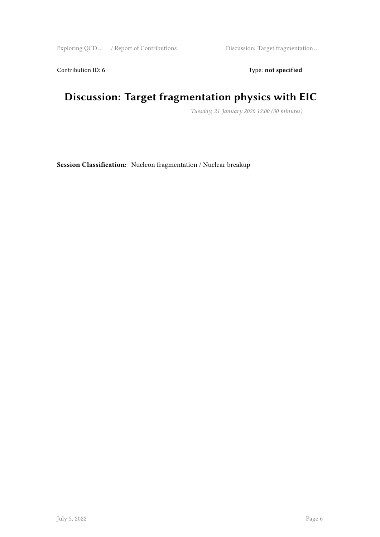Exploring QCD … / Report of Contributions Discussion: Target fragmentation …

Contribution ID: 6 Type: not specified

# **Discussion: Target fragmentation physics with EIC**

*Tuesday, 21 January 2020 12:00 (30 minutes)*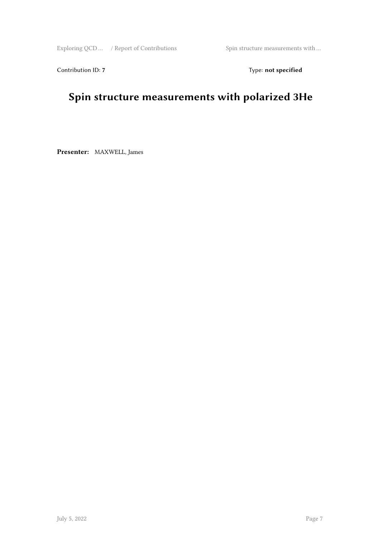Exploring QCD … / Report of Contributions Spin structure measurements with …

Contribution ID: 7 Type: **not specified** 

# **Spin structure measurements with polarized 3He**

**Presenter:** MAXWELL, James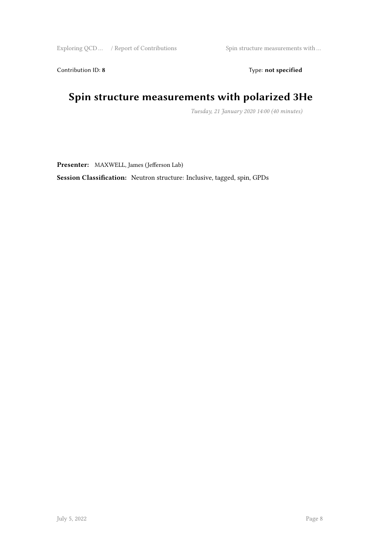Exploring QCD … / Report of Contributions Spin structure measurements with …

Contribution ID: 8 Type: **not specified** 

#### **Spin structure measurements with polarized 3He**

*Tuesday, 21 January 2020 14:00 (40 minutes)*

**Presenter:** MAXWELL, James (Jefferson Lab)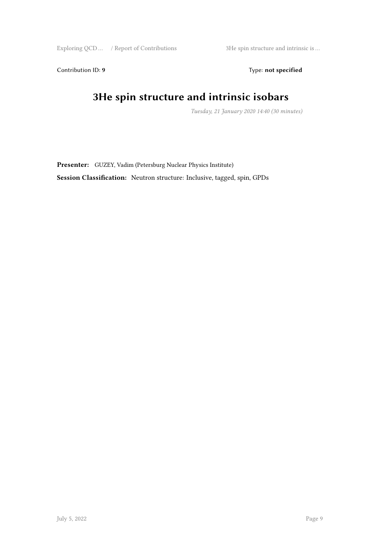Exploring QCD … / Report of Contributions 3He spin structure and intrinsic is …

Contribution ID: 9 Type: **not specified** 

## **3He spin structure and intrinsic isobars**

*Tuesday, 21 January 2020 14:40 (30 minutes)*

**Presenter:** GUZEY, Vadim (Petersburg Nuclear Physics Institute) **Session Classification:** Neutron structure: Inclusive, tagged, spin, GPDs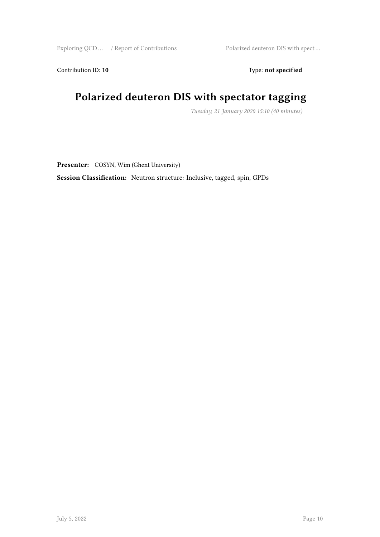Exploring QCD … / Report of Contributions Polarized deuteron DIS with spect …

Contribution ID: 10 Type: not specified

## **Polarized deuteron DIS with spectator tagging**

*Tuesday, 21 January 2020 15:10 (40 minutes)*

Presenter: COSYN, Wim (Ghent University)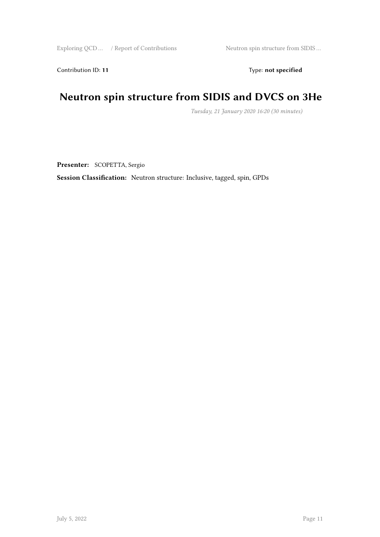Contribution ID: 11 Type: **not specified** 

## **Neutron spin structure from SIDIS and DVCS on 3He**

*Tuesday, 21 January 2020 16:20 (30 minutes)*

**Presenter:** SCOPETTA, Sergio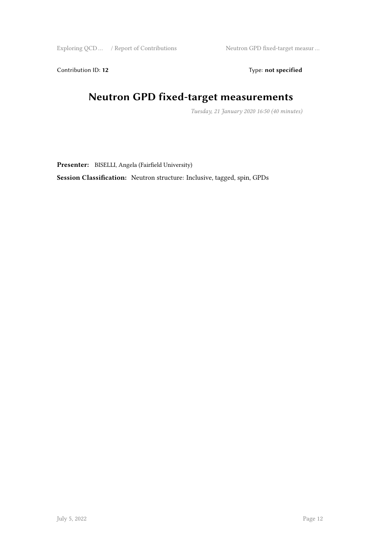Contribution ID: 12 Type: **not specified** 

## **Neutron GPD fixed-target measurements**

*Tuesday, 21 January 2020 16:50 (40 minutes)*

**Presenter:** BISELLI, Angela (Fairfield University)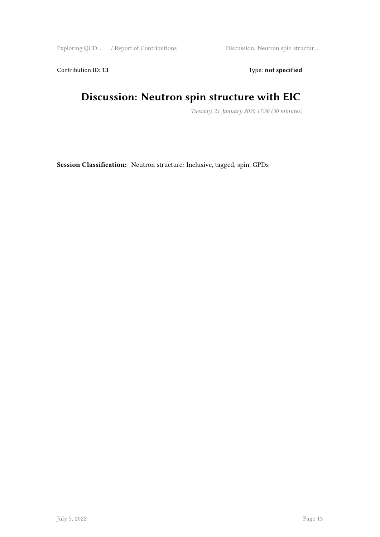Exploring QCD … / Report of Contributions Discussion: Neutron spin structur …

Contribution ID: 13 Type: **not specified** 

## **Discussion: Neutron spin structure with EIC**

*Tuesday, 21 January 2020 17:30 (30 minutes)*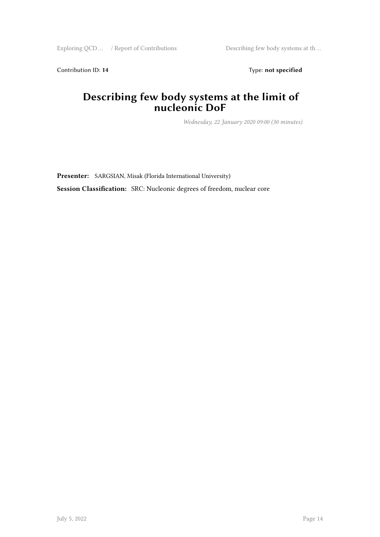Exploring QCD … / Report of Contributions Describing few body systems at th...

Contribution ID: 14 Type: **not specified** 

#### **Describing few body systems at the limit of nucleonic DoF**

*Wednesday, 22 January 2020 09:00 (30 minutes)*

**Presenter:** SARGSIAN, Misak (Florida International University) **Session Classification:** SRC: Nucleonic degrees of freedom, nuclear core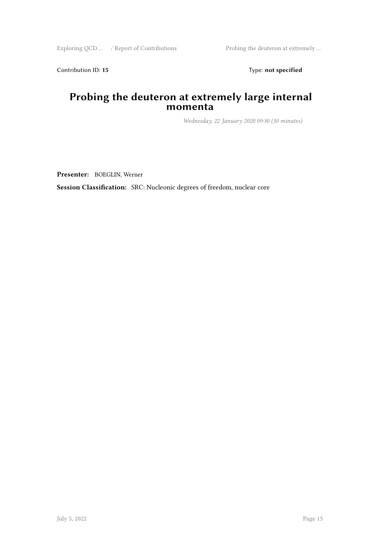Exploring QCD … / Report of Contributions Probing the deuteron at extremely …

Contribution ID: 15 Type: **not specified** 

#### **Probing the deuteron at extremely large internal momenta**

*Wednesday, 22 January 2020 09:30 (30 minutes)*

**Presenter:** BOEGLIN, Werner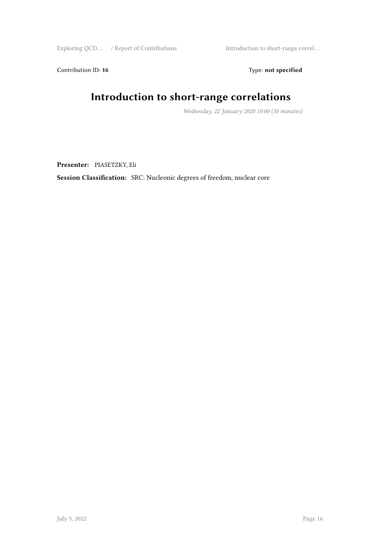Exploring QCD … / Report of Contributions Introduction to short-range correl …

Contribution ID: 16 Type: not specified

# **Introduction to short-range correlations**

*Wednesday, 22 January 2020 10:00 (30 minutes)*

**Presenter:** PIASETZKY, Eli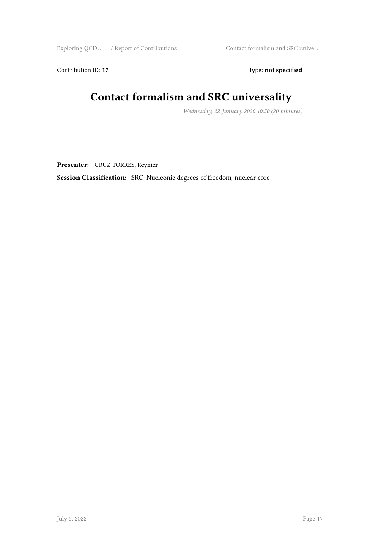Exploring QCD … / Report of Contributions Contact formalism and SRC unive …

Contribution ID: 17 Type: **not specified** 

## **Contact formalism and SRC universality**

*Wednesday, 22 January 2020 10:50 (20 minutes)*

**Presenter:** CRUZ TORRES, Reynier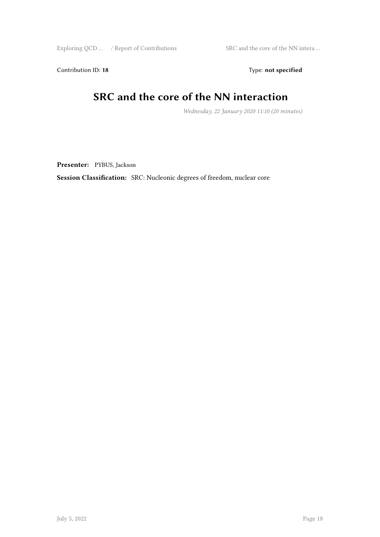Exploring QCD … / Report of Contributions SRC and the core of the NN intera …

Contribution ID: 18 Type: not specified

## **SRC and the core of the NN interaction**

*Wednesday, 22 January 2020 11:10 (20 minutes)*

**Presenter:** PYBUS, Jackson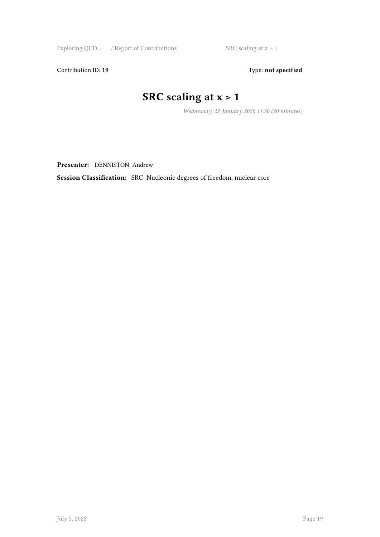Exploring QCD … / Report of Contributions SRC scaling at  $x > 1$ 

Contribution ID: 19 Type: **not specified** 

# **SRC scaling at x > 1**

*Wednesday, 22 January 2020 11:30 (20 minutes)*

**Presenter:** DENNISTON, Andrew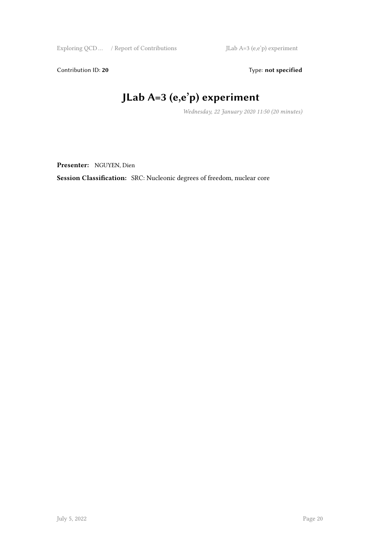Contribution ID: 20 Type: **not specified** 

# **JLab A=3 (e,e'p) experiment**

*Wednesday, 22 January 2020 11:50 (20 minutes)*

**Presenter:** NGUYEN, Dien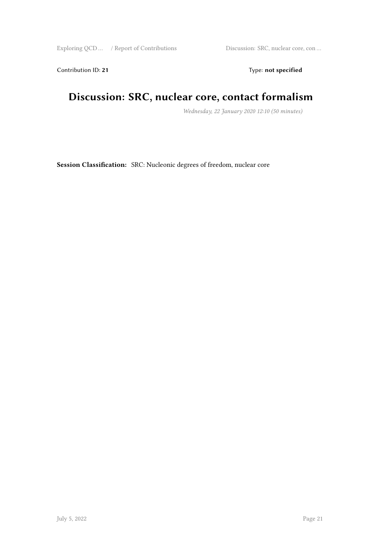Exploring QCD … / Report of Contributions Discussion: SRC, nuclear core, con …

Contribution ID: 21 Type: **not specified** 

## **Discussion: SRC, nuclear core, contact formalism**

*Wednesday, 22 January 2020 12:10 (50 minutes)*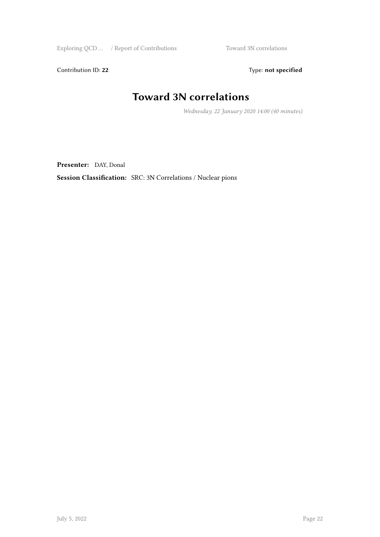Exploring QCD … / Report of Contributions Toward 3N correlations

Contribution ID: 22 Type: **not specified** 

## **Toward 3N correlations**

*Wednesday, 22 January 2020 14:00 (40 minutes)*

**Presenter:** DAY, Donal

**Session Classification:** SRC: 3N Correlations / Nuclear pions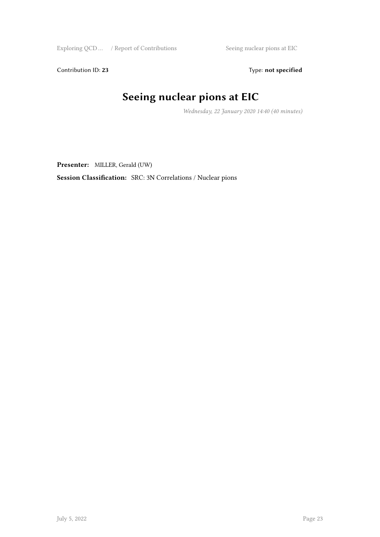Exploring QCD … / Report of Contributions Seeing nuclear pions at EIC

Contribution ID: 23 Type: **not specified** 

# **Seeing nuclear pions at EIC**

*Wednesday, 22 January 2020 14:40 (40 minutes)*

**Presenter:** MILLER, Gerald (UW)

**Session Classification:** SRC: 3N Correlations / Nuclear pions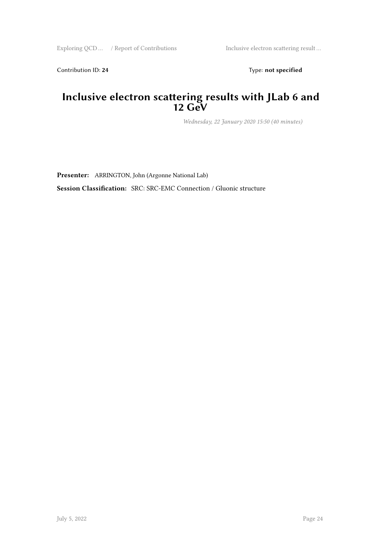Contribution ID: 24 Type: **not specified** 

#### **Inclusive electron scattering results with JLab 6 and 12 GeV**

*Wednesday, 22 January 2020 15:50 (40 minutes)*

**Presenter:** ARRINGTON, John (Argonne National Lab) **Session Classification:** SRC: SRC-EMC Connection / Gluonic structure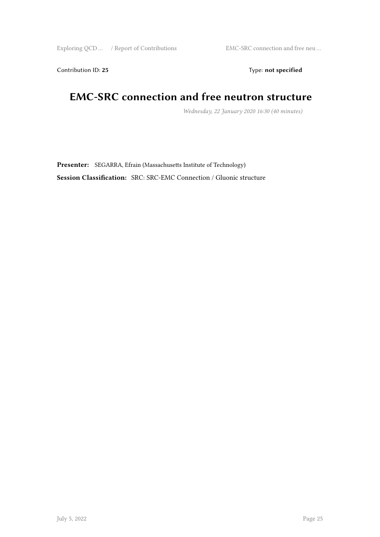Exploring QCD ... / Report of Contributions EMC-SRC connection and free neu ...

Contribution ID: 25 Type: **not specified** 

#### **EMC-SRC connection and free neutron structure**

*Wednesday, 22 January 2020 16:30 (40 minutes)*

**Presenter:** SEGARRA, Efrain (Massachusetts Institute of Technology) **Session Classification:** SRC: SRC-EMC Connection / Gluonic structure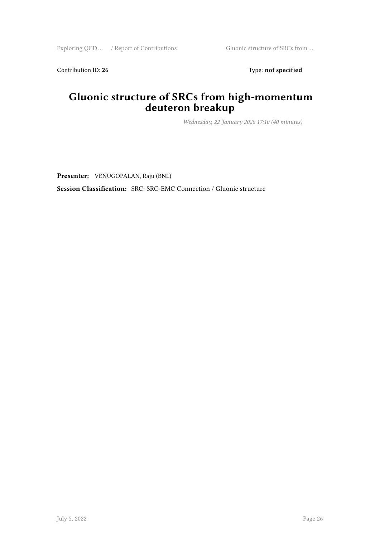Exploring QCD … / Report of Contributions Gluonic structure of SRCs from …

Contribution ID: 26 Type: **not specified** 

#### **Gluonic structure of SRCs from high-momentum deuteron breakup**

*Wednesday, 22 January 2020 17:10 (40 minutes)*

**Presenter:** VENUGOPALAN, Raju (BNL)

**Session Classification:** SRC: SRC-EMC Connection / Gluonic structure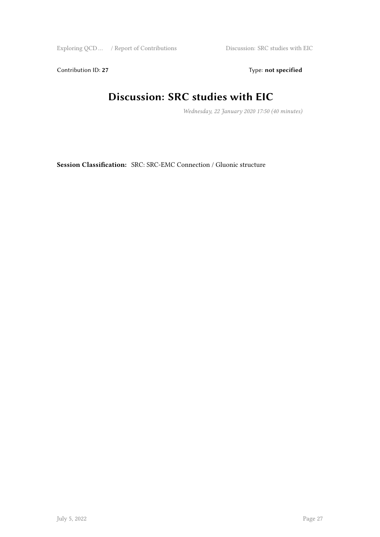Exploring QCD … / Report of Contributions Discussion: SRC studies with EIC

Contribution ID: 27 Type: **not specified** 

# **Discussion: SRC studies with EIC**

*Wednesday, 22 January 2020 17:50 (40 minutes)*

**Session Classification:** SRC: SRC-EMC Connection / Gluonic structure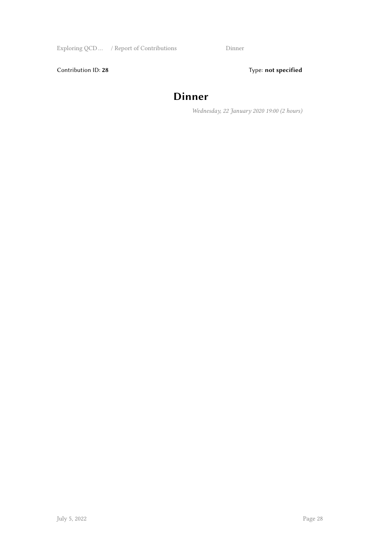Contribution ID: 28 Type: **not specified** 

# **Dinner**

*Wednesday, 22 January 2020 19:00 (2 hours)*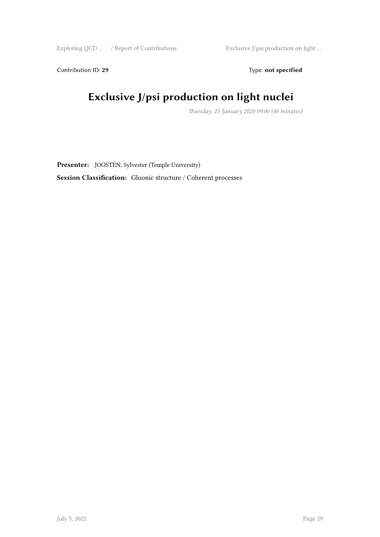Contribution ID: 29 Type: **not specified** 

## **Exclusive J/psi production on light nuclei**

*Thursday, 23 January 2020 09:00 (40 minutes)*

**Presenter:** JOOSTEN, Sylvester (Temple University) **Session Classification:** Gluonic structure / Coherent processes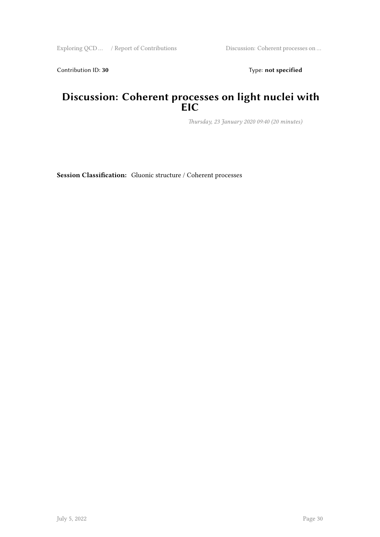Contribution ID: 30 Type: **not specified** 

#### **Discussion: Coherent processes on light nuclei with EIC**

*Thursday, 23 January 2020 09:40 (20 minutes)*

**Session Classification:** Gluonic structure / Coherent processes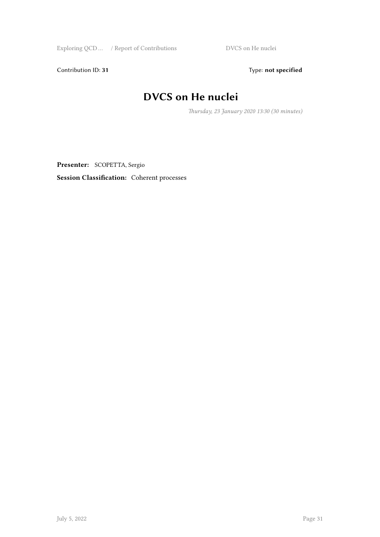Exploring QCD … / Report of Contributions DVCS on He nuclei

Contribution ID: 31 Type: **not specified** 

# **DVCS on He nuclei**

*Thursday, 23 January 2020 13:30 (30 minutes)*

**Presenter:** SCOPETTA, Sergio

**Session Classification:** Coherent processes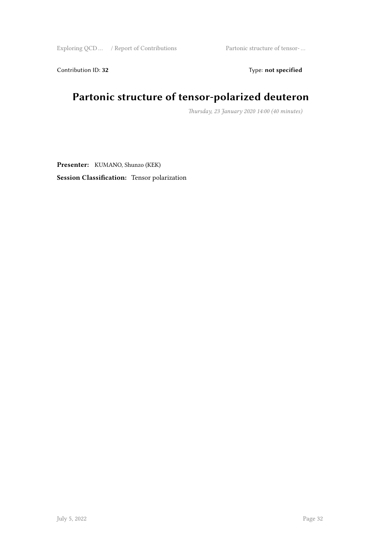Exploring QCD … / Report of Contributions Partonic structure of tensor- …

Contribution ID: 32 Type: **not specified** 

## **Partonic structure of tensor-polarized deuteron**

*Thursday, 23 January 2020 14:00 (40 minutes)*

**Presenter:** KUMANO, Shunzo (KEK)

**Session Classification:** Tensor polarization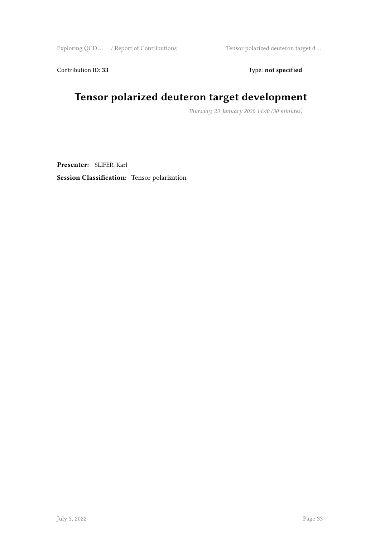Exploring QCD … / Report of Contributions Tensor polarized deuteron target d …

Contribution ID: 33 Type: **not specified** 

## **Tensor polarized deuteron target development**

*Thursday, 23 January 2020 14:40 (30 minutes)*

**Presenter:** SLIFER, Karl

**Session Classification:** Tensor polarization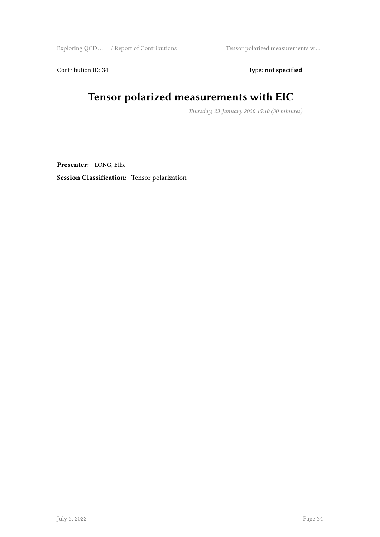Exploring QCD … / Report of Contributions Tensor polarized measurements w …

Contribution ID: 34 Type: **not specified** 

# **Tensor polarized measurements with EIC**

*Thursday, 23 January 2020 15:10 (30 minutes)*

**Presenter:** LONG, Ellie

**Session Classification:** Tensor polarization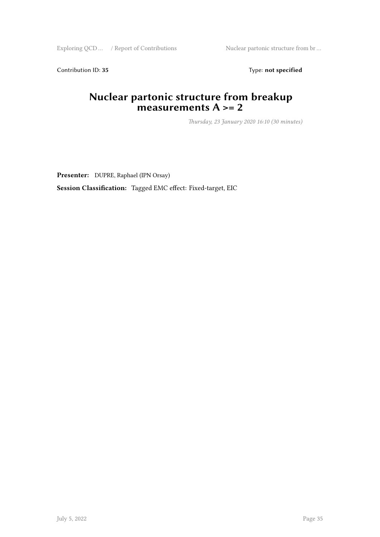Exploring QCD … / Report of Contributions Nuclear partonic structure from br ...

Contribution ID: 35 Type: **not specified** 

#### **Nuclear partonic structure from breakup measurements A >= 2**

*Thursday, 23 January 2020 16:10 (30 minutes)*

**Presenter:** DUPRE, Raphael (IPN Orsay)

**Session Classification:** Tagged EMC effect: Fixed-target, EIC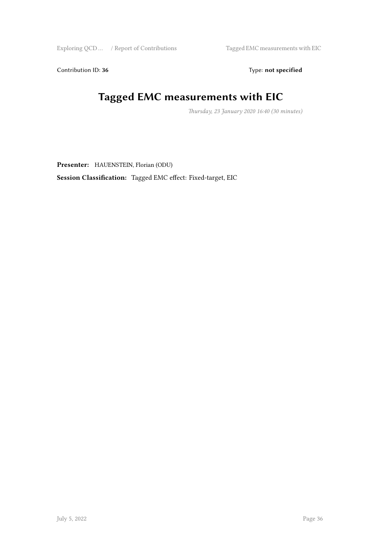Exploring QCD … / Report of Contributions Tagged EMC measurements with EIC

Contribution ID: 36 Type: **not specified** 

# **Tagged EMC measurements with EIC**

*Thursday, 23 January 2020 16:40 (30 minutes)*

**Presenter:** HAUENSTEIN, Florian (ODU)

**Session Classification:** Tagged EMC effect: Fixed-target, EIC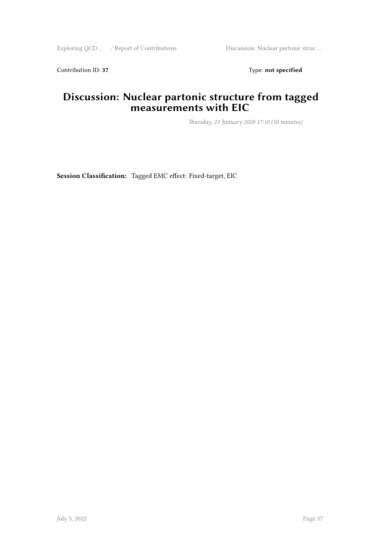Exploring QCD … / Report of Contributions Discussion: Nuclear partonic struc ...

Contribution ID: 37 Type: **not specified** 

#### **Discussion: Nuclear partonic structure from tagged measurements with EIC**

*Thursday, 23 January 2020 17:10 (50 minutes)*

**Session Classification:** Tagged EMC effect: Fixed-target, EIC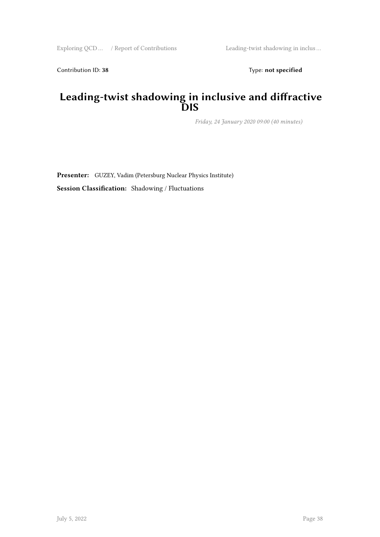Contribution ID: 38 Type: **not specified** 

#### **Leading-twist shadowing in inclusive and diffractive DIS**

*Friday, 24 January 2020 09:00 (40 minutes)*

**Presenter:** GUZEY, Vadim (Petersburg Nuclear Physics Institute)

**Session Classification:** Shadowing / Fluctuations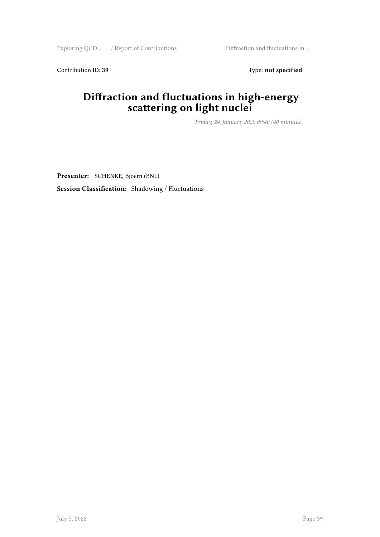Exploring QCD … / Report of Contributions Diffraction and fluctuations in …

Contribution ID: 39 Type: **not specified** 

#### **Diffraction and fluctuations in high-energy scattering on light nuclei**

*Friday, 24 January 2020 09:40 (40 minutes)*

**Presenter:** SCHENKE, Bjoern (BNL) **Session Classification:** Shadowing / Fluctuations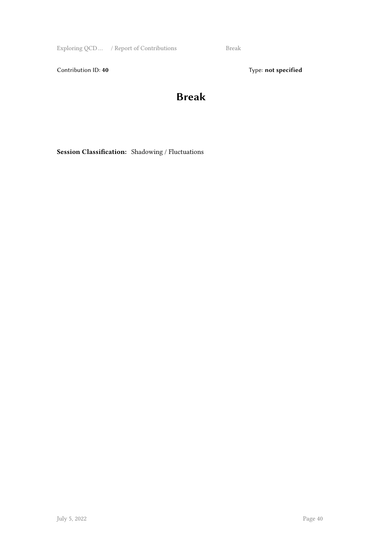Exploring QCD … / Report of Contributions Break

Contribution ID: 40 **Type:** not specified

#### **Break**

**Session Classification:** Shadowing / Fluctuations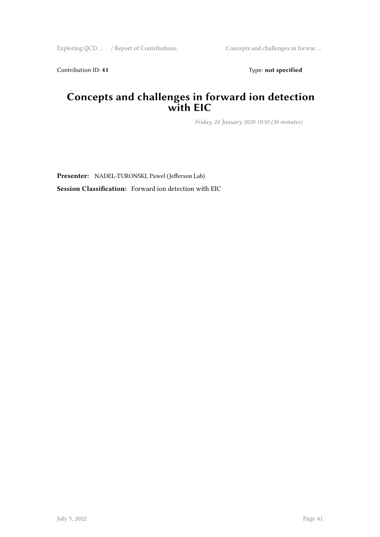Contribution ID: 41 Type: **not specified** 

#### **Concepts and challenges in forward ion detection with EIC**

*Friday, 24 January 2020 10:50 (30 minutes)*

**Presenter:** NADEL-TURONSKI, Pawel (Jefferson Lab) **Session Classification:** Forward ion detection with EIC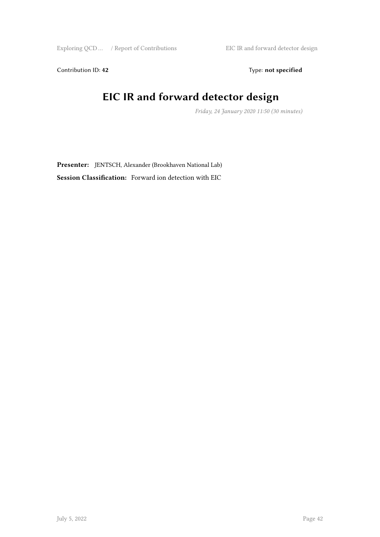Contribution ID: 42 Type: **not specified** 

# **EIC IR and forward detector design**

*Friday, 24 January 2020 11:50 (30 minutes)*

**Presenter:** JENTSCH, Alexander (Brookhaven National Lab) **Session Classification:** Forward ion detection with EIC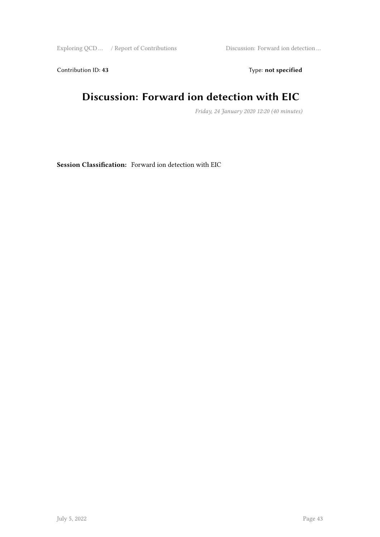Exploring QCD … / Report of Contributions Discussion: Forward ion detection …

Contribution ID: 43 Type: **not specified** 

## **Discussion: Forward ion detection with EIC**

*Friday, 24 January 2020 12:20 (40 minutes)*

**Session Classification:** Forward ion detection with EIC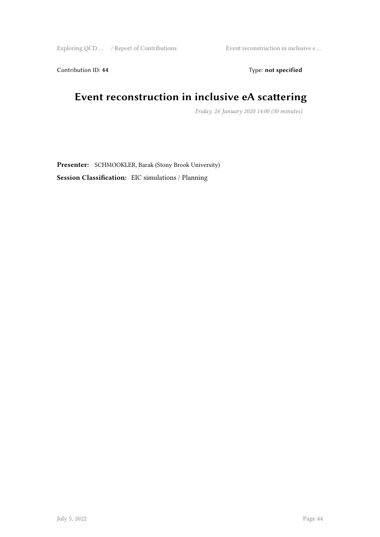Exploring QCD … / Report of Contributions Event reconstruction in inclusive e …

Contribution ID: 44 Type: **not specified** 

#### **Event reconstruction in inclusive eA scattering**

*Friday, 24 January 2020 14:00 (30 minutes)*

**Presenter:** SCHMOOKLER, Barak (Stony Brook University) **Session Classification:** EIC simulations / Planning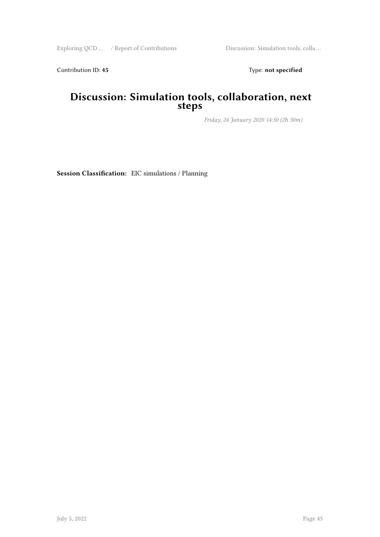Exploring QCD … / Report of Contributions Discussion: Simulation tools, colla …

Contribution ID: 45 Type: **not specified** 

#### **Discussion: Simulation tools, collaboration, next steps**

*Friday, 24 January 2020 14:30 (2h 30m)*

**Session Classification:** EIC simulations / Planning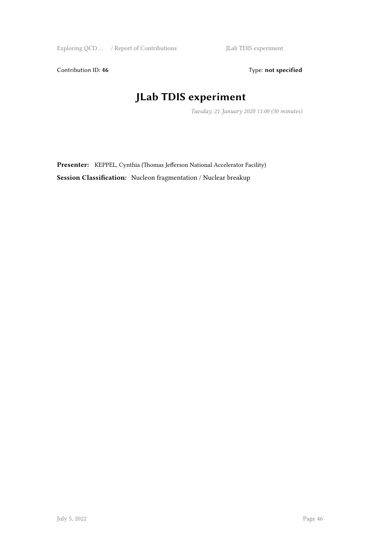Contribution ID: 46 Type: **not specified** 

# **JLab TDIS experiment**

*Tuesday, 21 January 2020 11:00 (30 minutes)*

Presenter: KEPPEL, Cynthia (Thomas Jefferson National Accelerator Facility) **Session Classification:** Nucleon fragmentation / Nuclear breakup